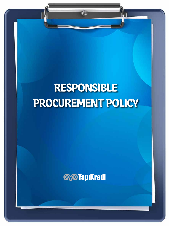## **RESPONSIBLE PROCUREMENT POLICY**

 $\overline{\bigcirc}$